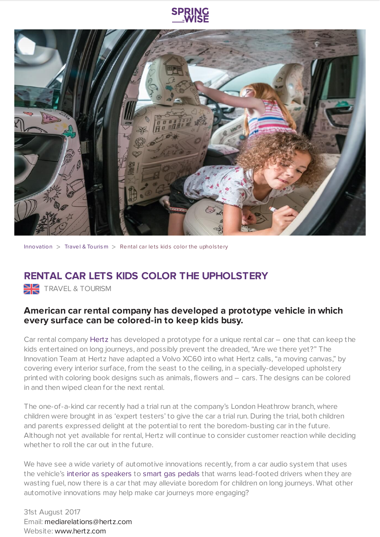



[Innovation](https://www.springwise.com/search?type=innovation)  $>$  Travel & [Tourism](https://www.springwise.com/search?type=innovation§or=travel-and-tourism)  $>$  Rental car lets kids color the upholstery

## **RENTAL CAR LETS KIDS COLOR THE UPHOLSTERY**

**TRAVEL & TOURISM** 

## **American car rental company has developed a prototype vehicle in which every surface can be colored-in to keep kids busy.**

Car rental company [Hertz](https://www.hertz.com/) has developed a prototype for a unique rental car – one that can keep the kids entertained on long journeys, and possibly prevent the dreaded, "Are we there yet?" The Innovation Team at Hertz have adapted a Volvo XC60 into what Hertz calls, "a moving canvas," by covering every interior surface, from the seast to the ceiling, in a specially-developed upholstery printed with coloring book designs such as animals, flowers and – cars. The designs can be colored in and then wiped clean for the next rental.

The one-of-a-kind car recently had a trial run at the company's London Heathrow branch, where children were brought in as 'expert testers' to give the car a trial run. During the trial, both children and parents expressed delight at the potential to rent the boredom-busting car in the future. Although not yet available for rental, Hertz will continue to consider customer reaction while deciding whether to roll the car out in the future.

We have see a wide variety of automotive innovations recently, from a car audio system that uses the vehicle's interior as [speakers](https://www.springwise.com/car-audio-system-uses-interior-surfaces-speakers/) to smart gas [pedals](https://www.springwise.com/smart-gas-pedal-warns-drivers-wasting-fuel/) that warns lead-footed drivers when they are wasting fuel, now there is a car that may alleviate boredom for children on long journeys. What other automotive innovations may help make car journeys more engaging?

31st August 2017 Email: [mediarelations@hertz.com](mailto:mediarelations@hertz.com) Website: [www.hertz.com](https://www.hertz.com/)